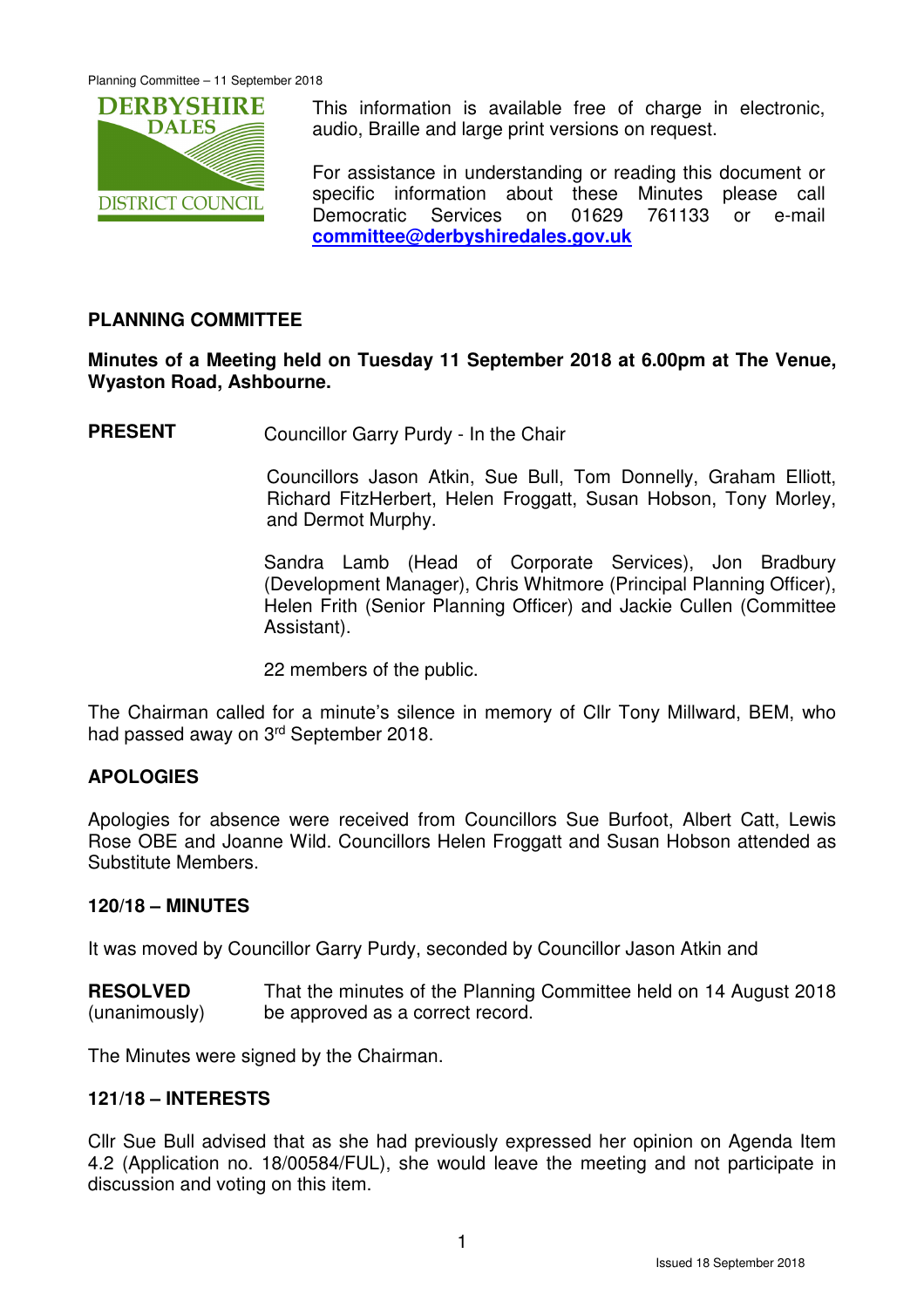

This information is available free of charge in electronic, audio, Braille and large print versions on request.

For assistance in understanding or reading this document or specific information about these Minutes please call Democratic Services on 01629 761133 or e-mail **committee@derbyshiredales.gov.uk**

## **PLANNING COMMITTEE**

#### **Minutes of a Meeting held on Tuesday 11 September 2018 at 6.00pm at The Venue, Wyaston Road, Ashbourne.**

**PRESENT** Councillor Garry Purdy - In the Chair

 Councillors Jason Atkin, Sue Bull, Tom Donnelly, Graham Elliott, Richard FitzHerbert, Helen Froggatt, Susan Hobson, Tony Morley, and Dermot Murphy.

Sandra Lamb (Head of Corporate Services), Jon Bradbury (Development Manager), Chris Whitmore (Principal Planning Officer), Helen Frith (Senior Planning Officer) and Jackie Cullen (Committee Assistant).

22 members of the public.

The Chairman called for a minute's silence in memory of Cllr Tony Millward, BEM, who had passed away on 3rd September 2018.

## **APOLOGIES**

Apologies for absence were received from Councillors Sue Burfoot, Albert Catt, Lewis Rose OBE and Joanne Wild. Councillors Helen Froggatt and Susan Hobson attended as Substitute Members.

#### **120/18 – MINUTES**

It was moved by Councillor Garry Purdy, seconded by Councillor Jason Atkin and

**RESOLVED** (unanimously) That the minutes of the Planning Committee held on 14 August 2018 be approved as a correct record.

The Minutes were signed by the Chairman.

#### **121/18 – INTERESTS**

Cllr Sue Bull advised that as she had previously expressed her opinion on Agenda Item 4.2 (Application no. 18/00584/FUL), she would leave the meeting and not participate in discussion and voting on this item.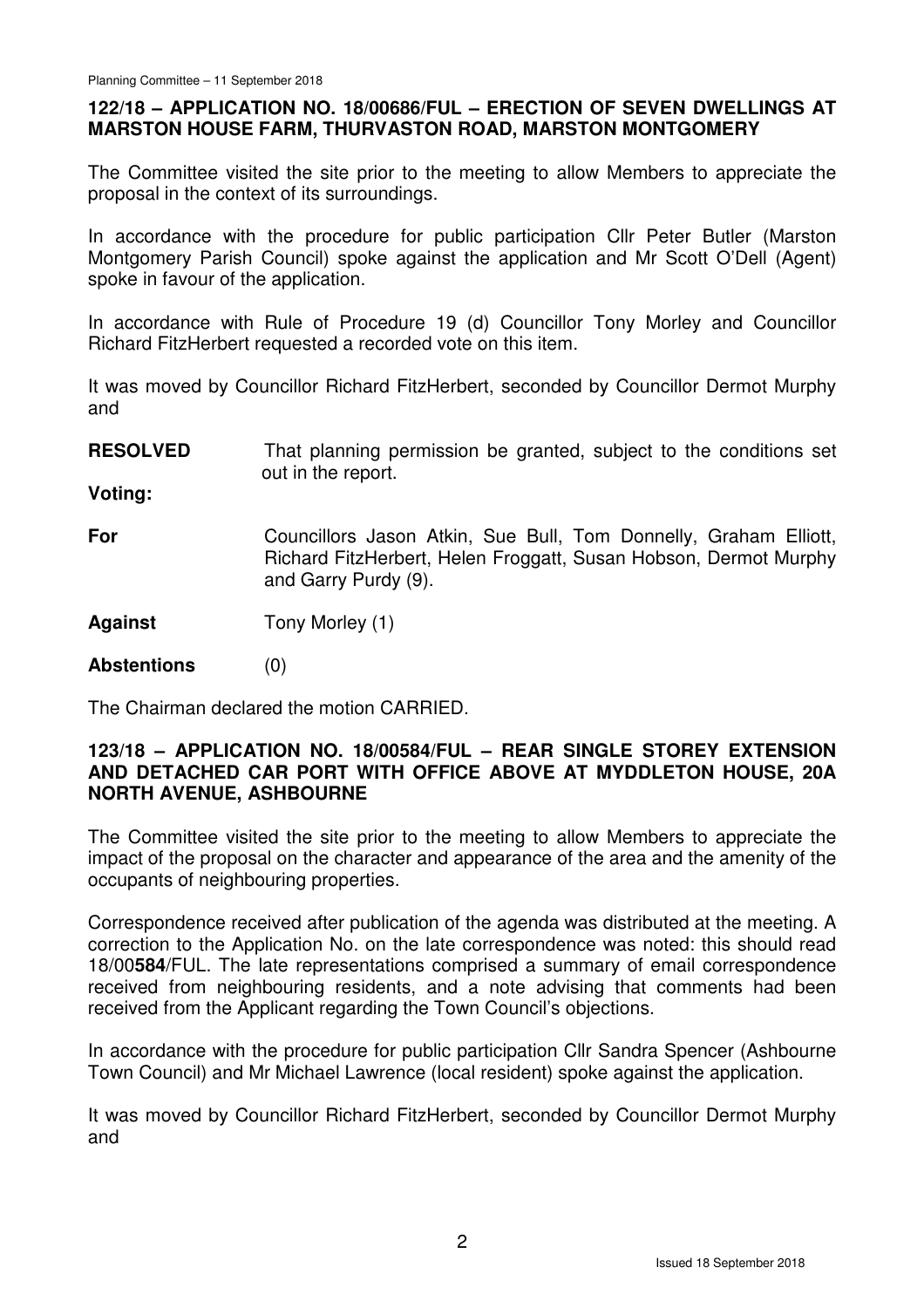## **122/18 – APPLICATION NO. 18/00686/FUL – ERECTION OF SEVEN DWELLINGS AT MARSTON HOUSE FARM, THURVASTON ROAD, MARSTON MONTGOMERY**

The Committee visited the site prior to the meeting to allow Members to appreciate the proposal in the context of its surroundings.

In accordance with the procedure for public participation Cllr Peter Butler (Marston Montgomery Parish Council) spoke against the application and Mr Scott O'Dell (Agent) spoke in favour of the application.

In accordance with Rule of Procedure 19 (d) Councillor Tony Morley and Councillor Richard FitzHerbert requested a recorded vote on this item.

It was moved by Councillor Richard FitzHerbert, seconded by Councillor Dermot Murphy and

**RESOLVED** That planning permission be granted, subject to the conditions set out in the report.

**Voting:** 

**For**  Councillors Jason Atkin, Sue Bull, Tom Donnelly, Graham Elliott, Richard FitzHerbert, Helen Froggatt, Susan Hobson, Dermot Murphy and Garry Purdy (9).

**Against**  Tony Morley (1)

**Abstentions** (0)

The Chairman declared the motion CARRIED.

#### **123/18 – APPLICATION NO. 18/00584/FUL – REAR SINGLE STOREY EXTENSION AND DETACHED CAR PORT WITH OFFICE ABOVE AT MYDDLETON HOUSE, 20A NORTH AVENUE, ASHBOURNE**

The Committee visited the site prior to the meeting to allow Members to appreciate the impact of the proposal on the character and appearance of the area and the amenity of the occupants of neighbouring properties.

Correspondence received after publication of the agenda was distributed at the meeting. A correction to the Application No. on the late correspondence was noted: this should read 18/00**584**/FUL. The late representations comprised a summary of email correspondence received from neighbouring residents, and a note advising that comments had been received from the Applicant regarding the Town Council's objections.

In accordance with the procedure for public participation Cllr Sandra Spencer (Ashbourne Town Council) and Mr Michael Lawrence (local resident) spoke against the application.

It was moved by Councillor Richard FitzHerbert, seconded by Councillor Dermot Murphy and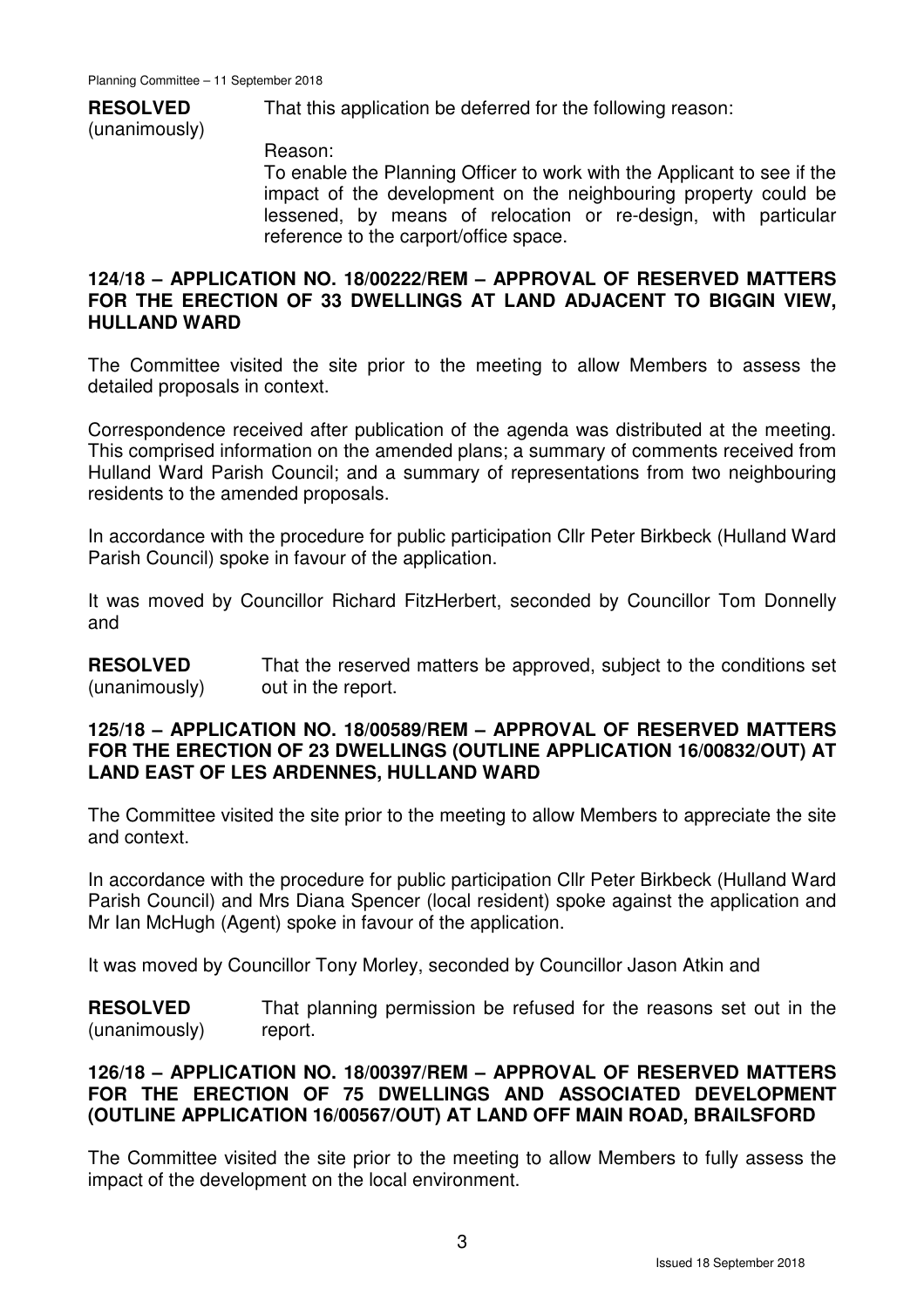# **RESOLVED**

That this application be deferred for the following reason:

(unanimously)

Reason:

To enable the Planning Officer to work with the Applicant to see if the impact of the development on the neighbouring property could be lessened, by means of relocation or re-design, with particular reference to the carport/office space.

#### **124/18 – APPLICATION NO. 18/00222/REM – APPROVAL OF RESERVED MATTERS FOR THE ERECTION OF 33 DWELLINGS AT LAND ADJACENT TO BIGGIN VIEW, HULLAND WARD**

The Committee visited the site prior to the meeting to allow Members to assess the detailed proposals in context.

Correspondence received after publication of the agenda was distributed at the meeting. This comprised information on the amended plans; a summary of comments received from Hulland Ward Parish Council; and a summary of representations from two neighbouring residents to the amended proposals.

In accordance with the procedure for public participation Cllr Peter Birkbeck (Hulland Ward Parish Council) spoke in favour of the application.

It was moved by Councillor Richard FitzHerbert, seconded by Councillor Tom Donnelly and

**RESOLVED** (unanimously) That the reserved matters be approved, subject to the conditions set out in the report.

#### **125/18 – APPLICATION NO. 18/00589/REM – APPROVAL OF RESERVED MATTERS FOR THE ERECTION OF 23 DWELLINGS (OUTLINE APPLICATION 16/00832/OUT) AT LAND EAST OF LES ARDENNES, HULLAND WARD**

The Committee visited the site prior to the meeting to allow Members to appreciate the site and context.

In accordance with the procedure for public participation Cllr Peter Birkbeck (Hulland Ward Parish Council) and Mrs Diana Spencer (local resident) spoke against the application and Mr Ian McHugh (Agent) spoke in favour of the application.

It was moved by Councillor Tony Morley, seconded by Councillor Jason Atkin and

**RESOLVED** (unanimously) That planning permission be refused for the reasons set out in the report.

#### **126/18 – APPLICATION NO. 18/00397/REM – APPROVAL OF RESERVED MATTERS FOR THE ERECTION OF 75 DWELLINGS AND ASSOCIATED DEVELOPMENT (OUTLINE APPLICATION 16/00567/OUT) AT LAND OFF MAIN ROAD, BRAILSFORD**

The Committee visited the site prior to the meeting to allow Members to fully assess the impact of the development on the local environment.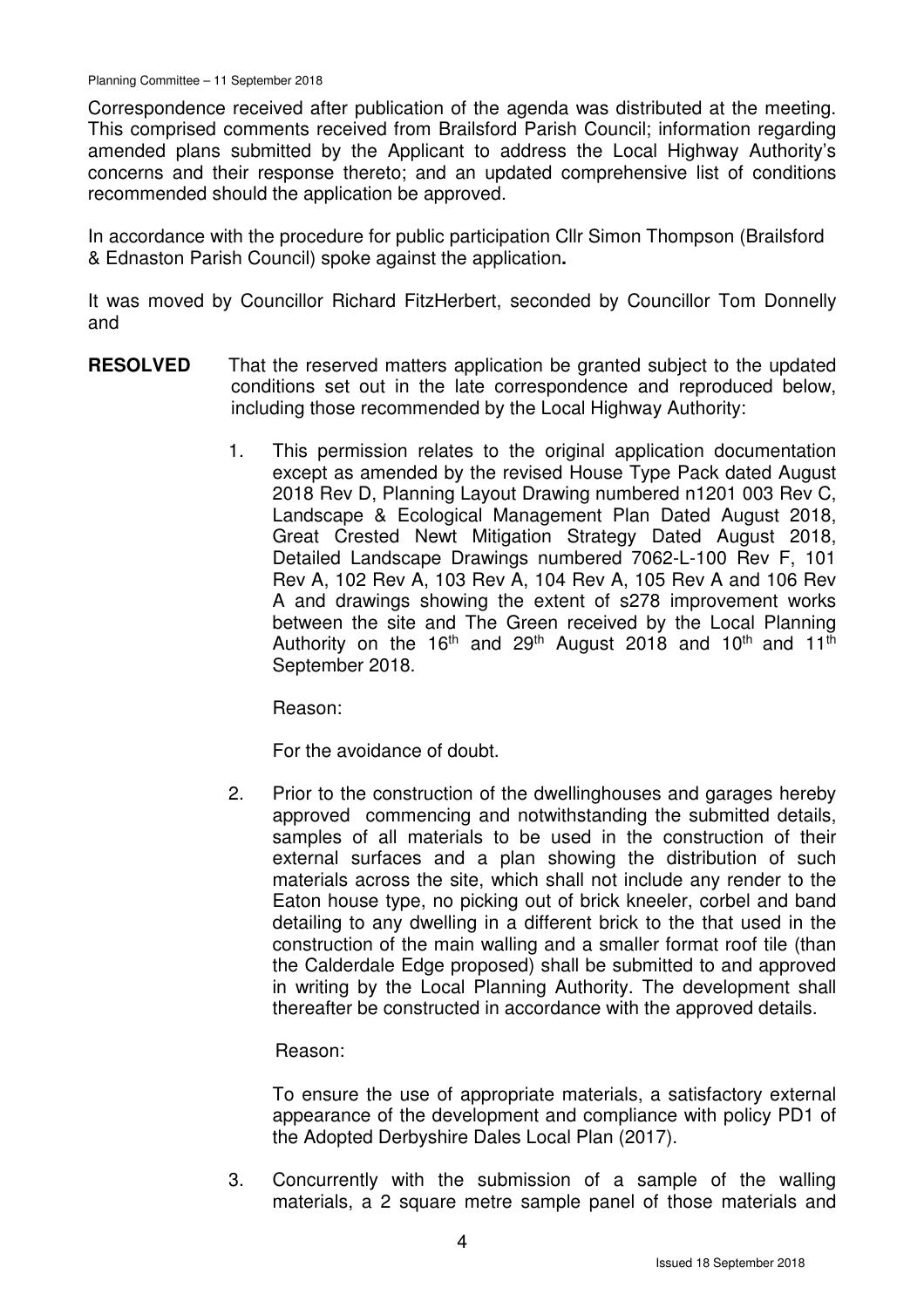Correspondence received after publication of the agenda was distributed at the meeting. This comprised comments received from Brailsford Parish Council; information regarding amended plans submitted by the Applicant to address the Local Highway Authority's concerns and their response thereto; and an updated comprehensive list of conditions recommended should the application be approved.

In accordance with the procedure for public participation Cllr Simon Thompson (Brailsford & Ednaston Parish Council) spoke against the application**.** 

It was moved by Councillor Richard FitzHerbert, seconded by Councillor Tom Donnelly and

- **RESOLVED** That the reserved matters application be granted subject to the updated conditions set out in the late correspondence and reproduced below, including those recommended by the Local Highway Authority:
	- 1. This permission relates to the original application documentation except as amended by the revised House Type Pack dated August 2018 Rev D, Planning Layout Drawing numbered n1201 003 Rev C, Landscape & Ecological Management Plan Dated August 2018, Great Crested Newt Mitigation Strategy Dated August 2018, Detailed Landscape Drawings numbered 7062-L-100 Rev F, 101 Rev A, 102 Rev A, 103 Rev A, 104 Rev A, 105 Rev A and 106 Rev A and drawings showing the extent of s278 improvement works between the site and The Green received by the Local Planning Authority on the 16<sup>th</sup> and 29<sup>th</sup> August 2018 and 10<sup>th</sup> and 11<sup>th</sup> September 2018.

Reason:

For the avoidance of doubt.

2. Prior to the construction of the dwellinghouses and garages hereby approved commencing and notwithstanding the submitted details, samples of all materials to be used in the construction of their external surfaces and a plan showing the distribution of such materials across the site, which shall not include any render to the Eaton house type, no picking out of brick kneeler, corbel and band detailing to any dwelling in a different brick to the that used in the construction of the main walling and a smaller format roof tile (than the Calderdale Edge proposed) shall be submitted to and approved in writing by the Local Planning Authority. The development shall thereafter be constructed in accordance with the approved details.

Reason:

 To ensure the use of appropriate materials, a satisfactory external appearance of the development and compliance with policy PD1 of the Adopted Derbyshire Dales Local Plan (2017).

3. Concurrently with the submission of a sample of the walling materials, a 2 square metre sample panel of those materials and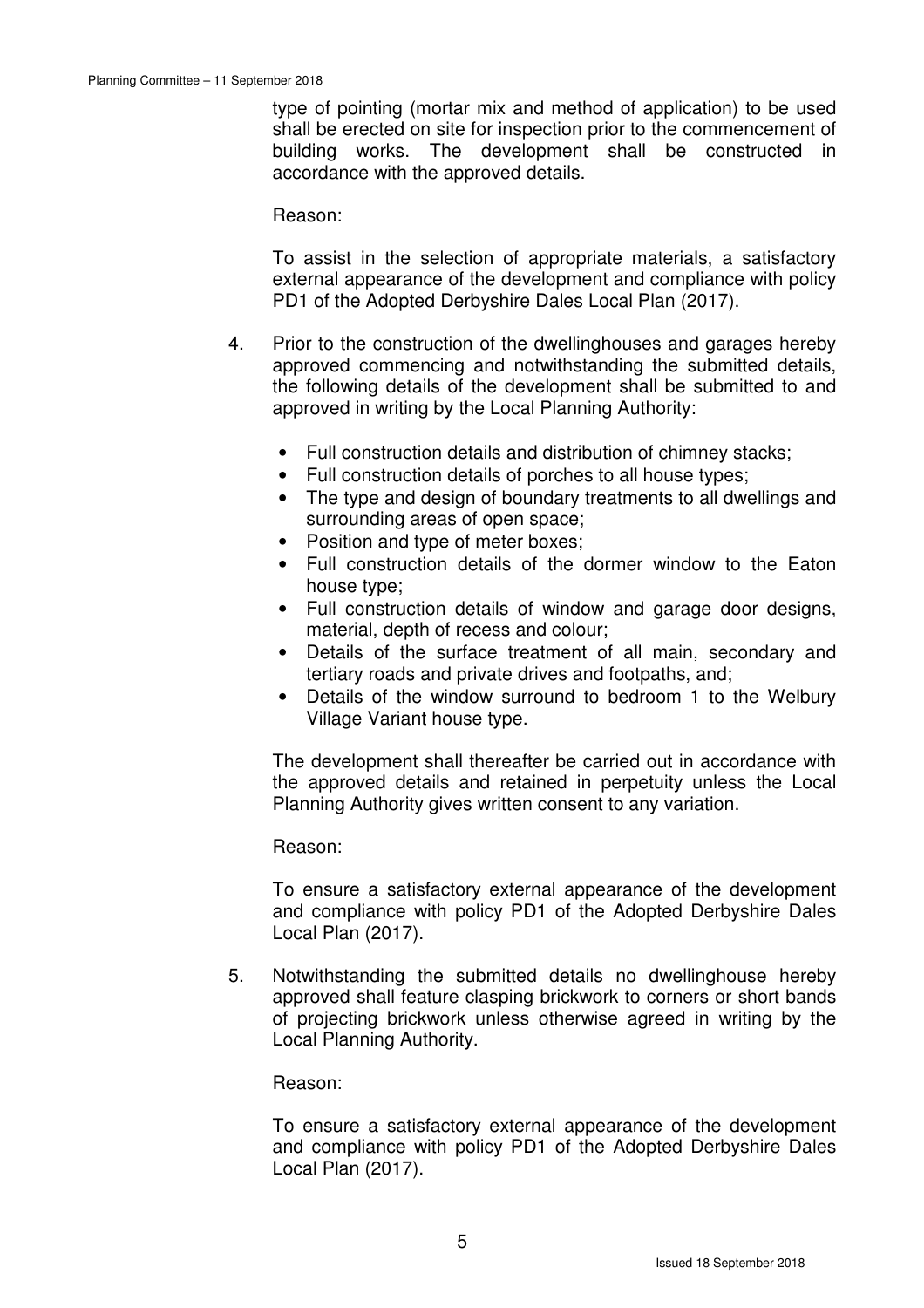type of pointing (mortar mix and method of application) to be used shall be erected on site for inspection prior to the commencement of building works. The development shall be constructed in accordance with the approved details.

Reason:

 To assist in the selection of appropriate materials, a satisfactory external appearance of the development and compliance with policy PD1 of the Adopted Derbyshire Dales Local Plan (2017).

- 4. Prior to the construction of the dwellinghouses and garages hereby approved commencing and notwithstanding the submitted details, the following details of the development shall be submitted to and approved in writing by the Local Planning Authority:
	- Full construction details and distribution of chimney stacks;
	- Full construction details of porches to all house types;
	- The type and design of boundary treatments to all dwellings and surrounding areas of open space;
	- Position and type of meter boxes;
	- Full construction details of the dormer window to the Eaton house type;
	- Full construction details of window and garage door designs, material, depth of recess and colour;
	- Details of the surface treatment of all main, secondary and tertiary roads and private drives and footpaths, and;
	- Details of the window surround to bedroom 1 to the Welbury Village Variant house type.

 The development shall thereafter be carried out in accordance with the approved details and retained in perpetuity unless the Local Planning Authority gives written consent to any variation.

Reason:

 To ensure a satisfactory external appearance of the development and compliance with policy PD1 of the Adopted Derbyshire Dales Local Plan (2017).

5. Notwithstanding the submitted details no dwellinghouse hereby approved shall feature clasping brickwork to corners or short bands of projecting brickwork unless otherwise agreed in writing by the Local Planning Authority.

Reason:

 To ensure a satisfactory external appearance of the development and compliance with policy PD1 of the Adopted Derbyshire Dales Local Plan (2017).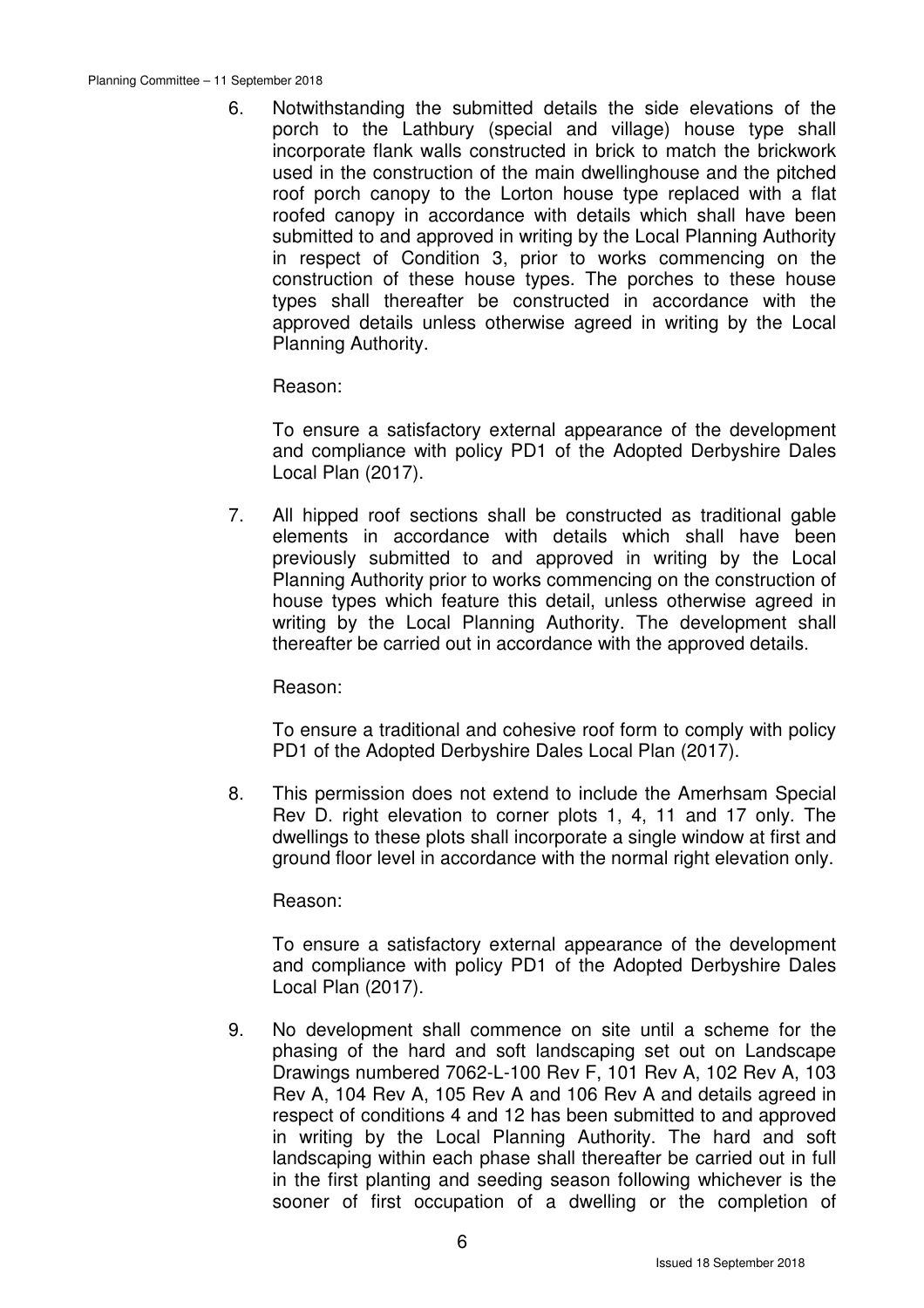6. Notwithstanding the submitted details the side elevations of the porch to the Lathbury (special and village) house type shall incorporate flank walls constructed in brick to match the brickwork used in the construction of the main dwellinghouse and the pitched roof porch canopy to the Lorton house type replaced with a flat roofed canopy in accordance with details which shall have been submitted to and approved in writing by the Local Planning Authority in respect of Condition 3, prior to works commencing on the construction of these house types. The porches to these house types shall thereafter be constructed in accordance with the approved details unless otherwise agreed in writing by the Local Planning Authority.

Reason:

 To ensure a satisfactory external appearance of the development and compliance with policy PD1 of the Adopted Derbyshire Dales Local Plan (2017).

7. All hipped roof sections shall be constructed as traditional gable elements in accordance with details which shall have been previously submitted to and approved in writing by the Local Planning Authority prior to works commencing on the construction of house types which feature this detail, unless otherwise agreed in writing by the Local Planning Authority. The development shall thereafter be carried out in accordance with the approved details.

Reason:

 To ensure a traditional and cohesive roof form to comply with policy PD1 of the Adopted Derbyshire Dales Local Plan (2017).

8. This permission does not extend to include the Amerhsam Special Rev D. right elevation to corner plots 1, 4, 11 and 17 only. The dwellings to these plots shall incorporate a single window at first and ground floor level in accordance with the normal right elevation only.

Reason:

 To ensure a satisfactory external appearance of the development and compliance with policy PD1 of the Adopted Derbyshire Dales Local Plan (2017).

9. No development shall commence on site until a scheme for the phasing of the hard and soft landscaping set out on Landscape Drawings numbered 7062-L-100 Rev F, 101 Rev A, 102 Rev A, 103 Rev A, 104 Rev A, 105 Rev A and 106 Rev A and details agreed in respect of conditions 4 and 12 has been submitted to and approved in writing by the Local Planning Authority. The hard and soft landscaping within each phase shall thereafter be carried out in full in the first planting and seeding season following whichever is the sooner of first occupation of a dwelling or the completion of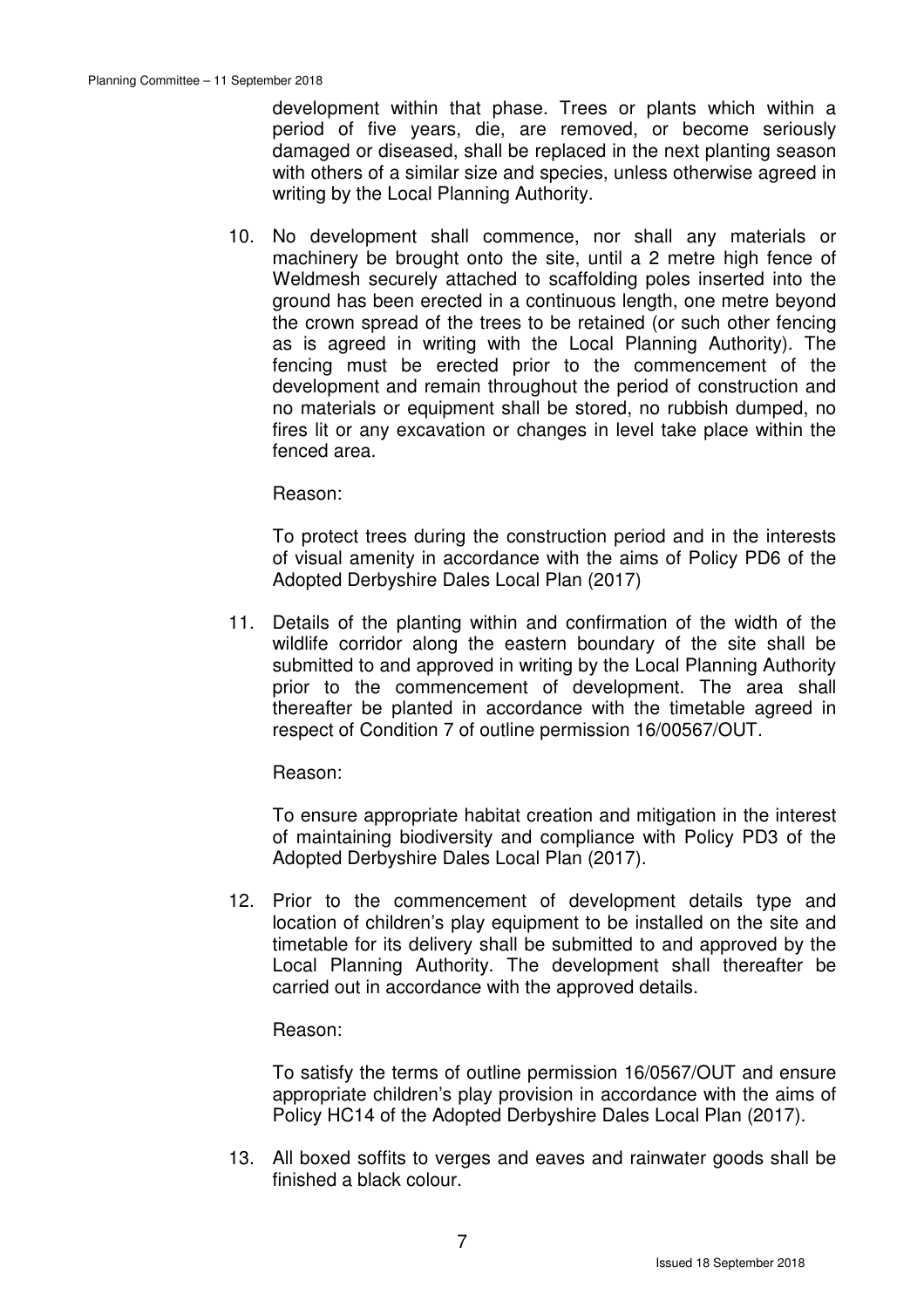development within that phase. Trees or plants which within a period of five years, die, are removed, or become seriously damaged or diseased, shall be replaced in the next planting season with others of a similar size and species, unless otherwise agreed in writing by the Local Planning Authority.

10. No development shall commence, nor shall any materials or machinery be brought onto the site, until a 2 metre high fence of Weldmesh securely attached to scaffolding poles inserted into the ground has been erected in a continuous length, one metre beyond the crown spread of the trees to be retained (or such other fencing as is agreed in writing with the Local Planning Authority). The fencing must be erected prior to the commencement of the development and remain throughout the period of construction and no materials or equipment shall be stored, no rubbish dumped, no fires lit or any excavation or changes in level take place within the fenced area.

Reason:

 To protect trees during the construction period and in the interests of visual amenity in accordance with the aims of Policy PD6 of the Adopted Derbyshire Dales Local Plan (2017)

11. Details of the planting within and confirmation of the width of the wildlife corridor along the eastern boundary of the site shall be submitted to and approved in writing by the Local Planning Authority prior to the commencement of development. The area shall thereafter be planted in accordance with the timetable agreed in respect of Condition 7 of outline permission 16/00567/OUT.

Reason:

 To ensure appropriate habitat creation and mitigation in the interest of maintaining biodiversity and compliance with Policy PD3 of the Adopted Derbyshire Dales Local Plan (2017).

12. Prior to the commencement of development details type and location of children's play equipment to be installed on the site and timetable for its delivery shall be submitted to and approved by the Local Planning Authority. The development shall thereafter be carried out in accordance with the approved details.

#### Reason:

 To satisfy the terms of outline permission 16/0567/OUT and ensure appropriate children's play provision in accordance with the aims of Policy HC14 of the Adopted Derbyshire Dales Local Plan (2017).

13. All boxed soffits to verges and eaves and rainwater goods shall be finished a black colour.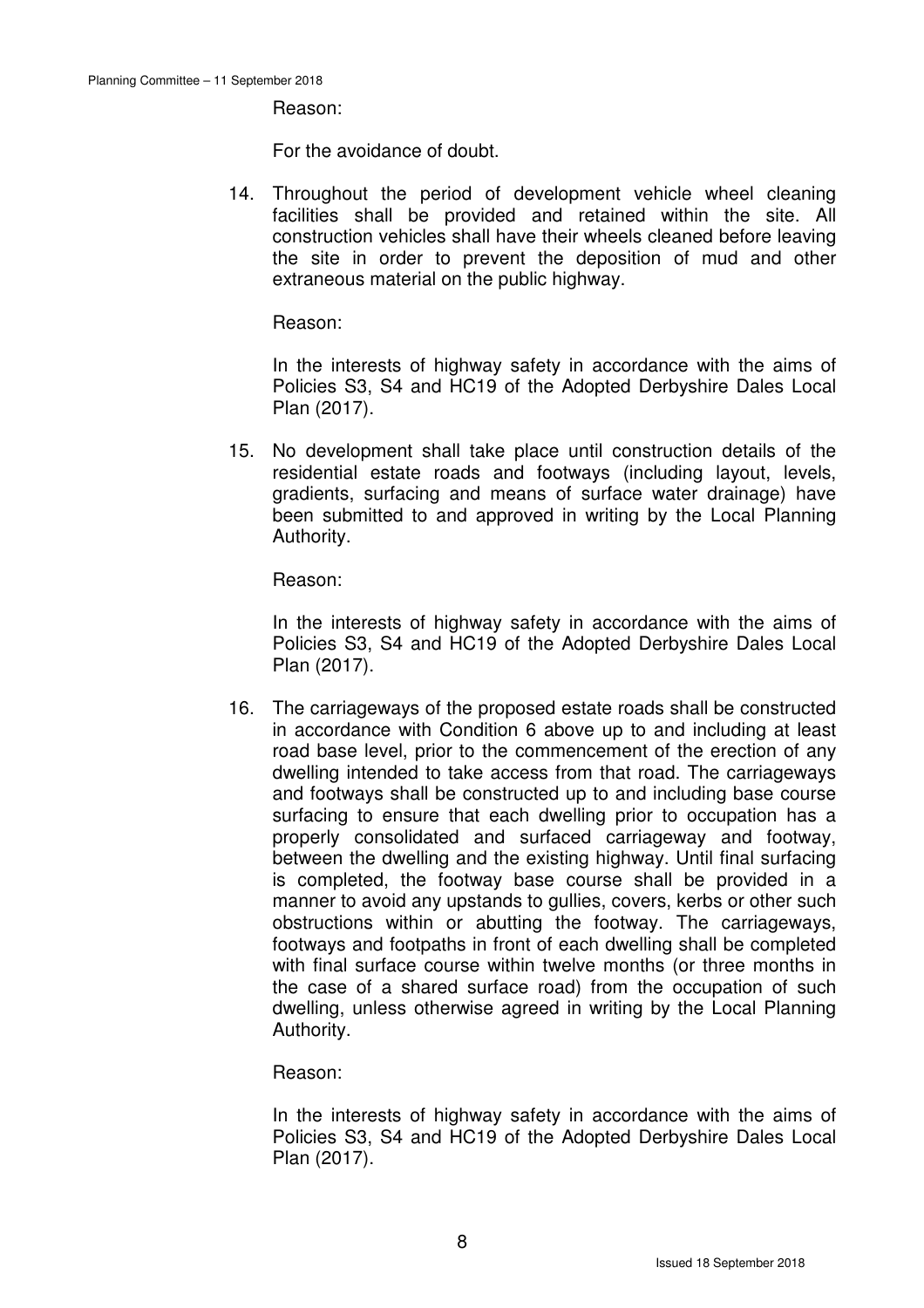Reason:

For the avoidance of doubt.

14. Throughout the period of development vehicle wheel cleaning facilities shall be provided and retained within the site. All construction vehicles shall have their wheels cleaned before leaving the site in order to prevent the deposition of mud and other extraneous material on the public highway.

Reason:

 In the interests of highway safety in accordance with the aims of Policies S3, S4 and HC19 of the Adopted Derbyshire Dales Local Plan (2017).

15. No development shall take place until construction details of the residential estate roads and footways (including layout, levels, gradients, surfacing and means of surface water drainage) have been submitted to and approved in writing by the Local Planning Authority.

Reason:

 In the interests of highway safety in accordance with the aims of Policies S3, S4 and HC19 of the Adopted Derbyshire Dales Local Plan (2017).

16. The carriageways of the proposed estate roads shall be constructed in accordance with Condition 6 above up to and including at least road base level, prior to the commencement of the erection of any dwelling intended to take access from that road. The carriageways and footways shall be constructed up to and including base course surfacing to ensure that each dwelling prior to occupation has a properly consolidated and surfaced carriageway and footway, between the dwelling and the existing highway. Until final surfacing is completed, the footway base course shall be provided in a manner to avoid any upstands to gullies, covers, kerbs or other such obstructions within or abutting the footway. The carriageways, footways and footpaths in front of each dwelling shall be completed with final surface course within twelve months (or three months in the case of a shared surface road) from the occupation of such dwelling, unless otherwise agreed in writing by the Local Planning Authority.

Reason:

 In the interests of highway safety in accordance with the aims of Policies S3, S4 and HC19 of the Adopted Derbyshire Dales Local Plan (2017).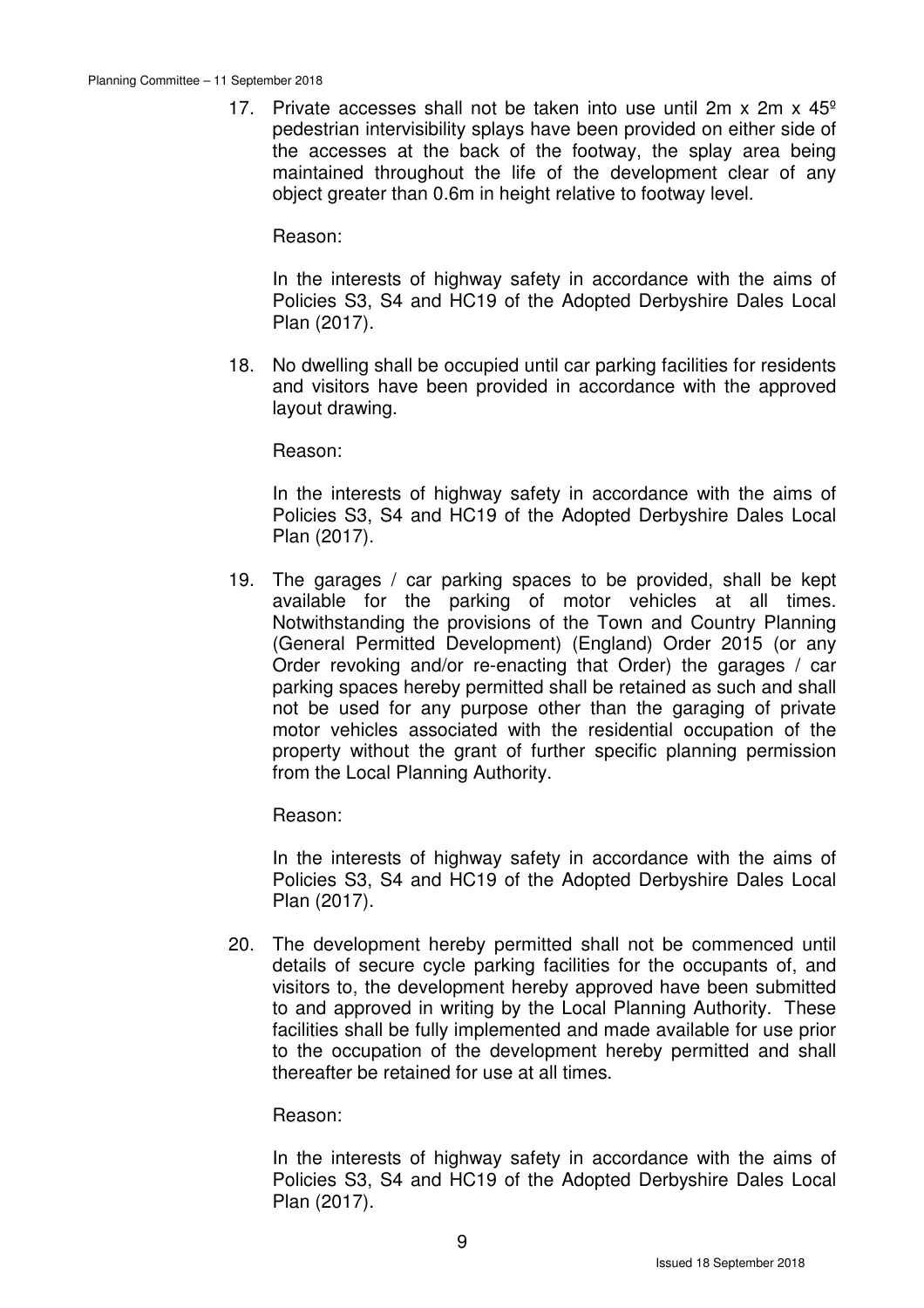17. Private accesses shall not be taken into use until  $2m \times 2m \times 45^\circ$ pedestrian intervisibility splays have been provided on either side of the accesses at the back of the footway, the splay area being maintained throughout the life of the development clear of any object greater than 0.6m in height relative to footway level.

Reason:

 In the interests of highway safety in accordance with the aims of Policies S3, S4 and HC19 of the Adopted Derbyshire Dales Local Plan (2017).

18. No dwelling shall be occupied until car parking facilities for residents and visitors have been provided in accordance with the approved layout drawing.

Reason:

 In the interests of highway safety in accordance with the aims of Policies S3, S4 and HC19 of the Adopted Derbyshire Dales Local Plan (2017).

19. The garages / car parking spaces to be provided, shall be kept available for the parking of motor vehicles at all times. Notwithstanding the provisions of the Town and Country Planning (General Permitted Development) (England) Order 2015 (or any Order revoking and/or re-enacting that Order) the garages / car parking spaces hereby permitted shall be retained as such and shall not be used for any purpose other than the garaging of private motor vehicles associated with the residential occupation of the property without the grant of further specific planning permission from the Local Planning Authority.

Reason:

 In the interests of highway safety in accordance with the aims of Policies S3, S4 and HC19 of the Adopted Derbyshire Dales Local Plan (2017).

20. The development hereby permitted shall not be commenced until details of secure cycle parking facilities for the occupants of, and visitors to, the development hereby approved have been submitted to and approved in writing by the Local Planning Authority. These facilities shall be fully implemented and made available for use prior to the occupation of the development hereby permitted and shall thereafter be retained for use at all times.

Reason:

 In the interests of highway safety in accordance with the aims of Policies S3, S4 and HC19 of the Adopted Derbyshire Dales Local Plan (2017).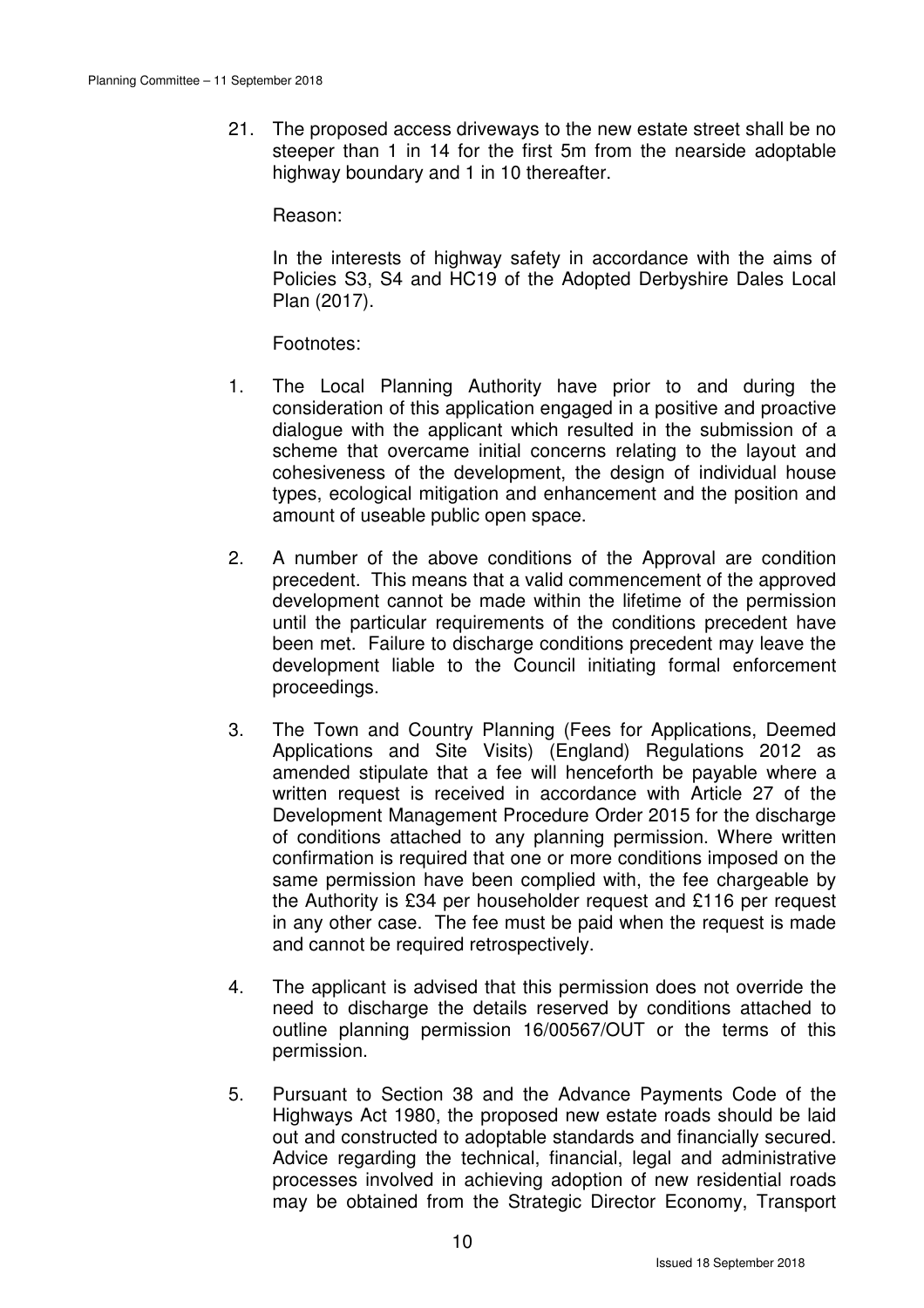21. The proposed access driveways to the new estate street shall be no steeper than 1 in 14 for the first 5m from the nearside adoptable highway boundary and 1 in 10 thereafter.

Reason:

 In the interests of highway safety in accordance with the aims of Policies S3, S4 and HC19 of the Adopted Derbyshire Dales Local Plan (2017).

Footnotes:

- 1. The Local Planning Authority have prior to and during the consideration of this application engaged in a positive and proactive dialogue with the applicant which resulted in the submission of a scheme that overcame initial concerns relating to the layout and cohesiveness of the development, the design of individual house types, ecological mitigation and enhancement and the position and amount of useable public open space.
- 2. A number of the above conditions of the Approval are condition precedent. This means that a valid commencement of the approved development cannot be made within the lifetime of the permission until the particular requirements of the conditions precedent have been met. Failure to discharge conditions precedent may leave the development liable to the Council initiating formal enforcement proceedings.
- 3. The Town and Country Planning (Fees for Applications, Deemed Applications and Site Visits) (England) Regulations 2012 as amended stipulate that a fee will henceforth be payable where a written request is received in accordance with Article 27 of the Development Management Procedure Order 2015 for the discharge of conditions attached to any planning permission. Where written confirmation is required that one or more conditions imposed on the same permission have been complied with, the fee chargeable by the Authority is £34 per householder request and £116 per request in any other case. The fee must be paid when the request is made and cannot be required retrospectively.
- 4. The applicant is advised that this permission does not override the need to discharge the details reserved by conditions attached to outline planning permission 16/00567/OUT or the terms of this permission.
- 5. Pursuant to Section 38 and the Advance Payments Code of the Highways Act 1980, the proposed new estate roads should be laid out and constructed to adoptable standards and financially secured. Advice regarding the technical, financial, legal and administrative processes involved in achieving adoption of new residential roads may be obtained from the Strategic Director Economy, Transport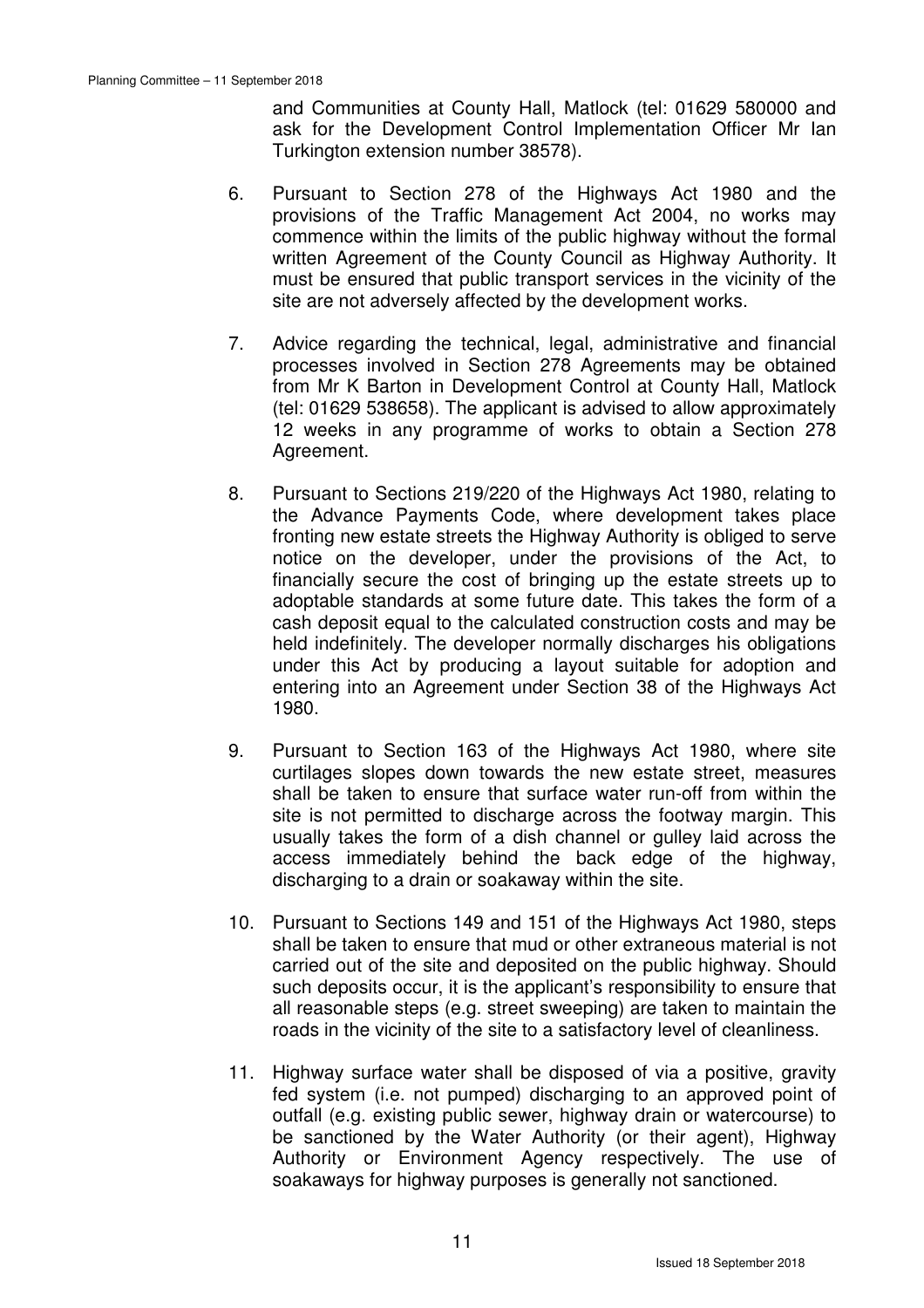and Communities at County Hall, Matlock (tel: 01629 580000 and ask for the Development Control Implementation Officer Mr Ian Turkington extension number 38578).

- 6. Pursuant to Section 278 of the Highways Act 1980 and the provisions of the Traffic Management Act 2004, no works may commence within the limits of the public highway without the formal written Agreement of the County Council as Highway Authority. It must be ensured that public transport services in the vicinity of the site are not adversely affected by the development works.
- 7. Advice regarding the technical, legal, administrative and financial processes involved in Section 278 Agreements may be obtained from Mr K Barton in Development Control at County Hall, Matlock (tel: 01629 538658). The applicant is advised to allow approximately 12 weeks in any programme of works to obtain a Section 278 Agreement.
- 8. Pursuant to Sections 219/220 of the Highways Act 1980, relating to the Advance Payments Code, where development takes place fronting new estate streets the Highway Authority is obliged to serve notice on the developer, under the provisions of the Act, to financially secure the cost of bringing up the estate streets up to adoptable standards at some future date. This takes the form of a cash deposit equal to the calculated construction costs and may be held indefinitely. The developer normally discharges his obligations under this Act by producing a layout suitable for adoption and entering into an Agreement under Section 38 of the Highways Act 1980.
- 9. Pursuant to Section 163 of the Highways Act 1980, where site curtilages slopes down towards the new estate street, measures shall be taken to ensure that surface water run-off from within the site is not permitted to discharge across the footway margin. This usually takes the form of a dish channel or gulley laid across the access immediately behind the back edge of the highway, discharging to a drain or soakaway within the site.
- 10. Pursuant to Sections 149 and 151 of the Highways Act 1980, steps shall be taken to ensure that mud or other extraneous material is not carried out of the site and deposited on the public highway. Should such deposits occur, it is the applicant's responsibility to ensure that all reasonable steps (e.g. street sweeping) are taken to maintain the roads in the vicinity of the site to a satisfactory level of cleanliness.
- 11. Highway surface water shall be disposed of via a positive, gravity fed system (i.e. not pumped) discharging to an approved point of outfall (e.g. existing public sewer, highway drain or watercourse) to be sanctioned by the Water Authority (or their agent), Highway Authority or Environment Agency respectively. The use of soakaways for highway purposes is generally not sanctioned.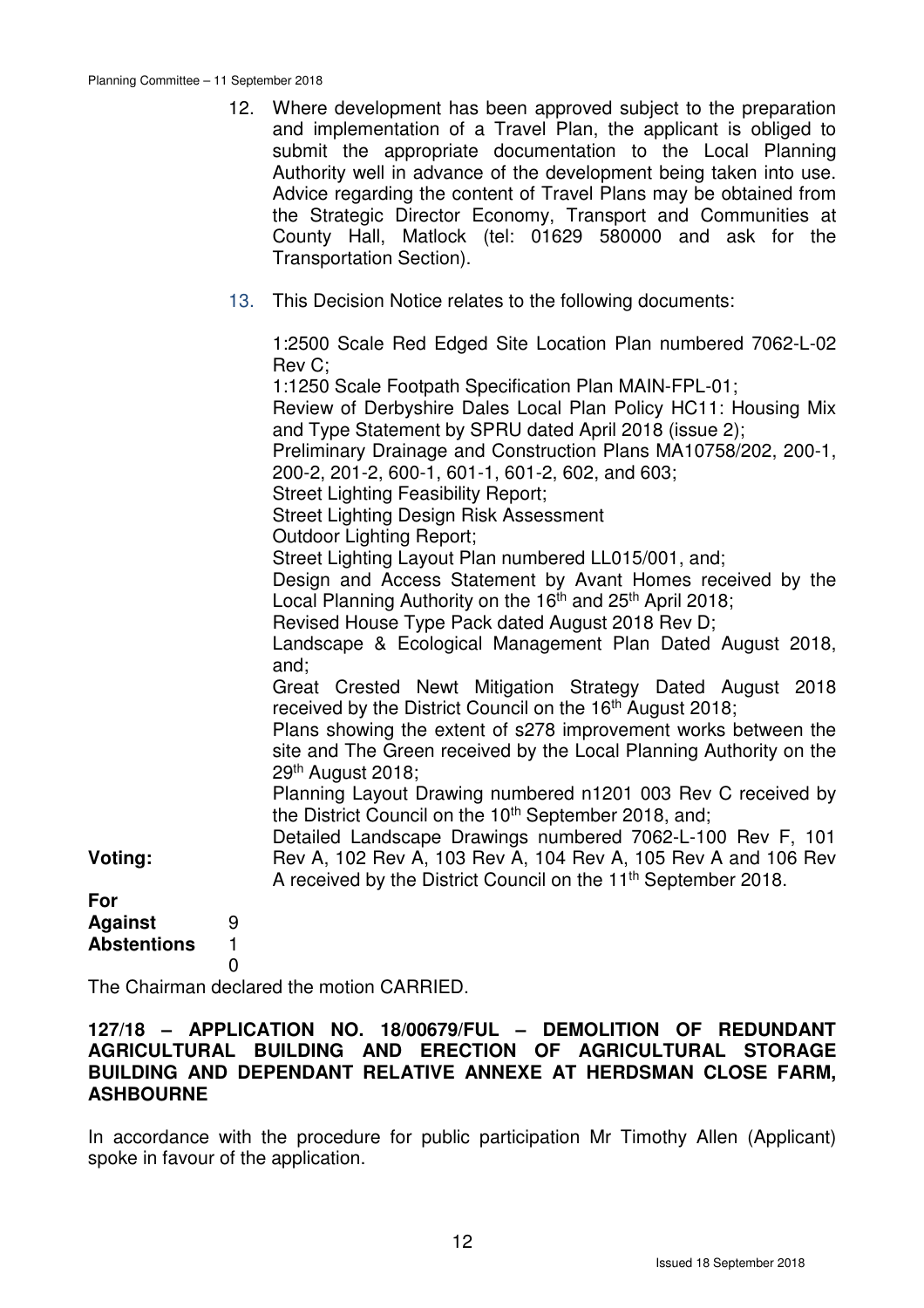|                                      | 12.                   | Where development has been approved subject to the preparation<br>and implementation of a Travel Plan, the applicant is obliged to<br>submit the appropriate documentation to the Local Planning<br>Authority well in advance of the development being taken into use.<br>Advice regarding the content of Travel Plans may be obtained from<br>the Strategic Director Economy, Transport and Communities at<br>County Hall, Matlock (tel: 01629 580000 and ask for the<br>Transportation Section).                                                                                                                                                                                                                                                                                  |
|--------------------------------------|-----------------------|-------------------------------------------------------------------------------------------------------------------------------------------------------------------------------------------------------------------------------------------------------------------------------------------------------------------------------------------------------------------------------------------------------------------------------------------------------------------------------------------------------------------------------------------------------------------------------------------------------------------------------------------------------------------------------------------------------------------------------------------------------------------------------------|
|                                      | 13.                   | This Decision Notice relates to the following documents:                                                                                                                                                                                                                                                                                                                                                                                                                                                                                                                                                                                                                                                                                                                            |
|                                      |                       | 1:2500 Scale Red Edged Site Location Plan numbered 7062-L-02<br>Rev C;<br>1:1250 Scale Footpath Specification Plan MAIN-FPL-01;<br>Review of Derbyshire Dales Local Plan Policy HC11: Housing Mix<br>and Type Statement by SPRU dated April 2018 (issue 2);<br>Preliminary Drainage and Construction Plans MA10758/202, 200-1,<br>200-2, 201-2, 600-1, 601-1, 601-2, 602, and 603;<br><b>Street Lighting Feasibility Report;</b><br><b>Street Lighting Design Risk Assessment</b><br><b>Outdoor Lighting Report;</b><br>Street Lighting Layout Plan numbered LL015/001, and;<br>Design and Access Statement by Avant Homes received by the<br>Local Planning Authority on the 16 <sup>th</sup> and 25 <sup>th</sup> April 2018;<br>Revised House Type Pack dated August 2018 Rev D; |
| Voting:<br>For                       |                       | Landscape & Ecological Management Plan Dated August 2018,<br>and;<br>Great Crested Newt Mitigation Strategy Dated August 2018<br>received by the District Council on the 16 <sup>th</sup> August 2018;<br>Plans showing the extent of s278 improvement works between the<br>site and The Green received by the Local Planning Authority on the<br>29th August 2018;<br>Planning Layout Drawing numbered n1201 003 Rev C received by<br>the District Council on the 10 <sup>th</sup> September 2018, and;<br>Detailed Landscape Drawings numbered 7062-L-100 Rev F, 101<br>Rev A, 102 Rev A, 103 Rev A, 104 Rev A, 105 Rev A and 106 Rev<br>A received by the District Council on the 11 <sup>th</sup> September 2018.                                                               |
| <b>Against</b><br><b>Abstentions</b> | 9<br>1<br>$\mathbf 0$ |                                                                                                                                                                                                                                                                                                                                                                                                                                                                                                                                                                                                                                                                                                                                                                                     |

The Chairman declared the motion CARRIED.

#### **127/18 – APPLICATION NO. 18/00679/FUL – DEMOLITION OF REDUNDANT AGRICULTURAL BUILDING AND ERECTION OF AGRICULTURAL STORAGE BUILDING AND DEPENDANT RELATIVE ANNEXE AT HERDSMAN CLOSE FARM, ASHBOURNE**

In accordance with the procedure for public participation Mr Timothy Allen (Applicant) spoke in favour of the application.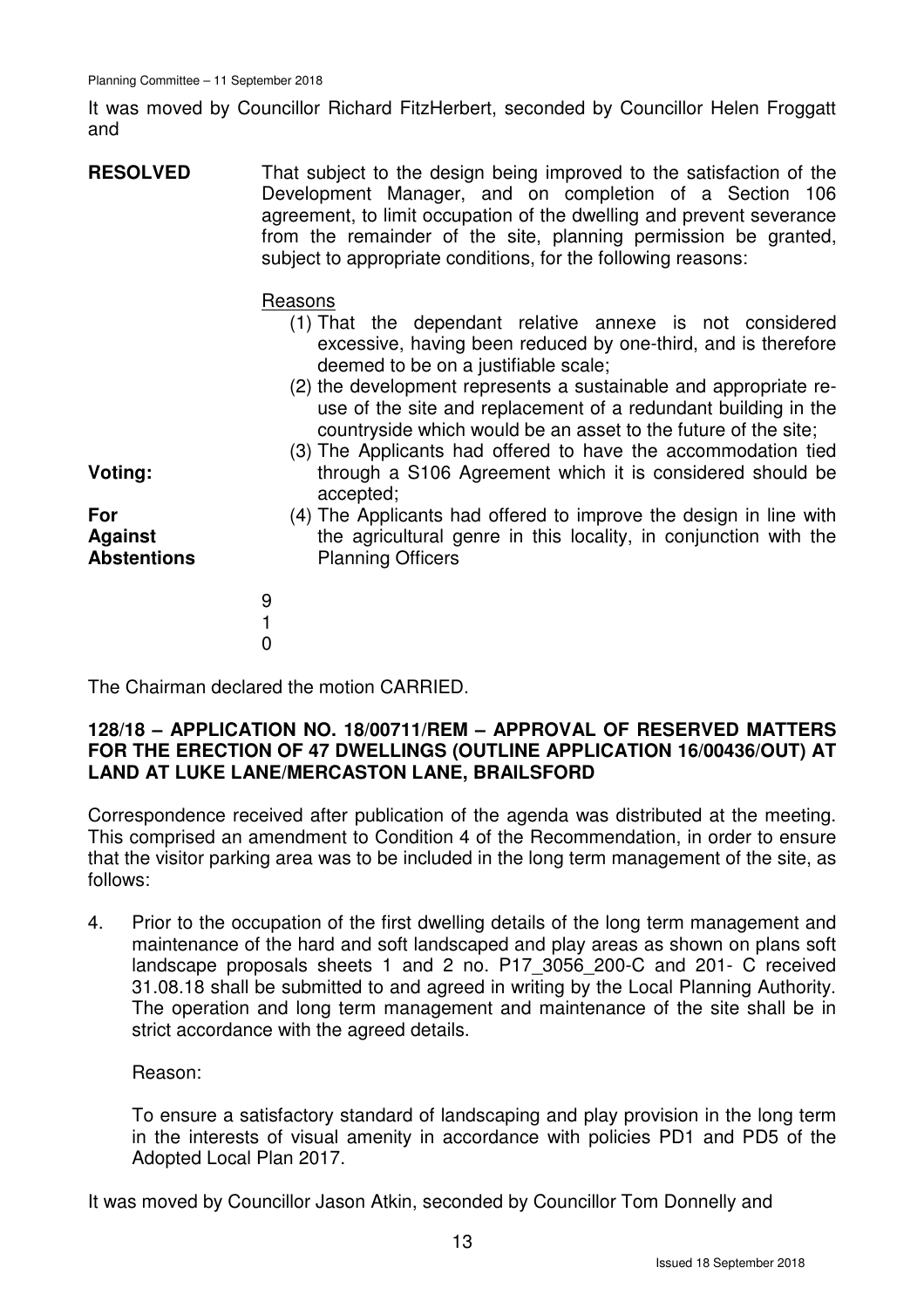It was moved by Councillor Richard FitzHerbert, seconded by Councillor Helen Froggatt and

**RESOLVED** That subject to the design being improved to the satisfaction of the Development Manager, and on completion of a Section 106 agreement, to limit occupation of the dwelling and prevent severance from the remainder of the site, planning permission be granted, subject to appropriate conditions, for the following reasons:

#### Reasons

- (1) That the dependant relative annexe is not considered excessive, having been reduced by one-third, and is therefore deemed to be on a justifiable scale;
- (2) the development represents a sustainable and appropriate reuse of the site and replacement of a redundant building in the countryside which would be an asset to the future of the site;
- (3) The Applicants had offered to have the accommodation tied through a S106 Agreement which it is considered should be accepted;
- **For Against Abstentions**

**Voting:** 

- (4) The Applicants had offered to improve the design in line with the agricultural genre in this locality, in conjunction with the Planning Officers
- 9 1  $\Omega$

The Chairman declared the motion CARRIED.

#### **128/18 – APPLICATION NO. 18/00711/REM – APPROVAL OF RESERVED MATTERS FOR THE ERECTION OF 47 DWELLINGS (OUTLINE APPLICATION 16/00436/OUT) AT LAND AT LUKE LANE/MERCASTON LANE, BRAILSFORD**

Correspondence received after publication of the agenda was distributed at the meeting. This comprised an amendment to Condition 4 of the Recommendation, in order to ensure that the visitor parking area was to be included in the long term management of the site, as follows:

4. Prior to the occupation of the first dwelling details of the long term management and maintenance of the hard and soft landscaped and play areas as shown on plans soft landscape proposals sheets 1 and 2 no. P17\_3056\_200-C and 201- C received 31.08.18 shall be submitted to and agreed in writing by the Local Planning Authority. The operation and long term management and maintenance of the site shall be in strict accordance with the agreed details.

Reason:

To ensure a satisfactory standard of landscaping and play provision in the long term in the interests of visual amenity in accordance with policies PD1 and PD5 of the Adopted Local Plan 2017.

It was moved by Councillor Jason Atkin, seconded by Councillor Tom Donnelly and

13